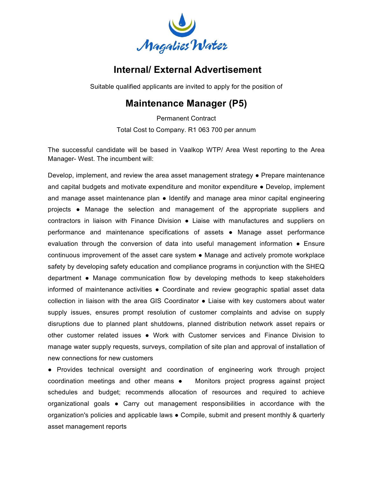

## **Internal/ External Advertisement**

Suitable qualified applicants are invited to apply for the position of

## **Maintenance Manager (P5)**

Permanent Contract Total Cost to Company. R1 063 700 per annum

The successful candidate will be based in Vaalkop WTP/ Area West reporting to the Area Manager- West. The incumbent will:

Develop, implement, and review the area asset management strategy ● Prepare maintenance and capital budgets and motivate expenditure and monitor expenditure • Develop, implement and manage asset maintenance plan ● Identify and manage area minor capital engineering projects ● Manage the selection and management of the appropriate suppliers and contractors in liaison with Finance Division ● Liaise with manufactures and suppliers on performance and maintenance specifications of assets ● Manage asset performance evaluation through the conversion of data into useful management information ● Ensure continuous improvement of the asset care system ● Manage and actively promote workplace safety by developing safety education and compliance programs in conjunction with the SHEQ department ● Manage communication flow by developing methods to keep stakeholders informed of maintenance activities ● Coordinate and review geographic spatial asset data collection in liaison with the area GIS Coordinator ● Liaise with key customers about water supply issues, ensures prompt resolution of customer complaints and advise on supply disruptions due to planned plant shutdowns, planned distribution network asset repairs or other customer related issues ● Work with Customer services and Finance Division to manage water supply requests, surveys, compilation of site plan and approval of installation of new connections for new customers

● Provides technical oversight and coordination of engineering work through project coordination meetings and other means ● Monitors project progress against project schedules and budget; recommends allocation of resources and required to achieve organizational goals ● Carry out management responsibilities in accordance with the organization's policies and applicable laws ● Compile, submit and present monthly & quarterly asset management reports